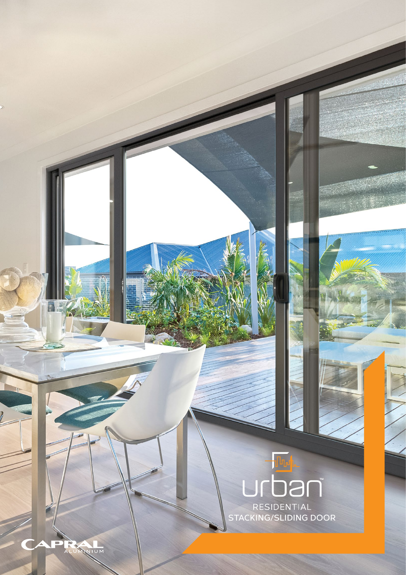## DƏN

RESIDENTIAL<br>STACKING/SLIDING DOOR

**PRACTION**